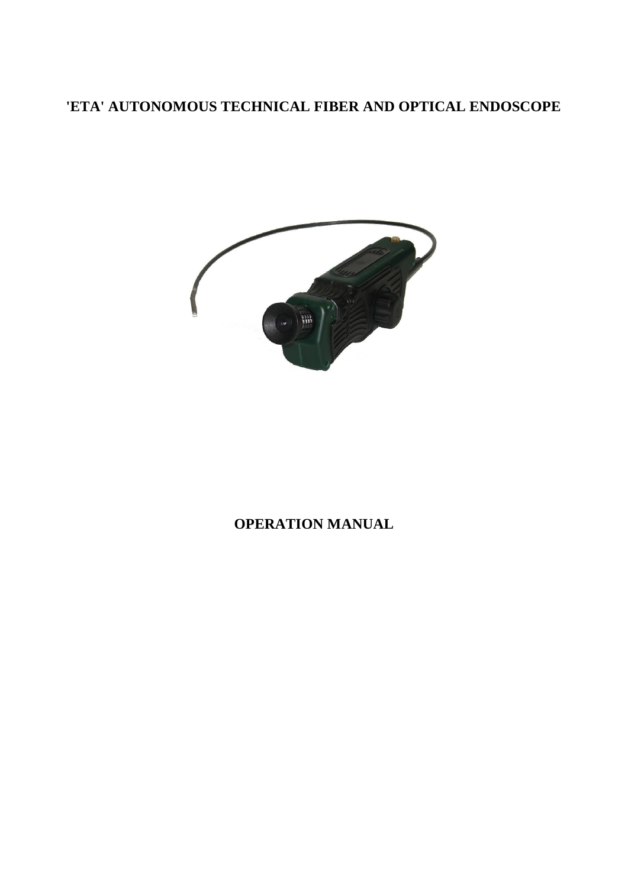# **'ETA' AUTONOMOUS TECHNICAL FIBER AND OPTICAL ENDOSCOPE**



## **OPERATION MANUAL**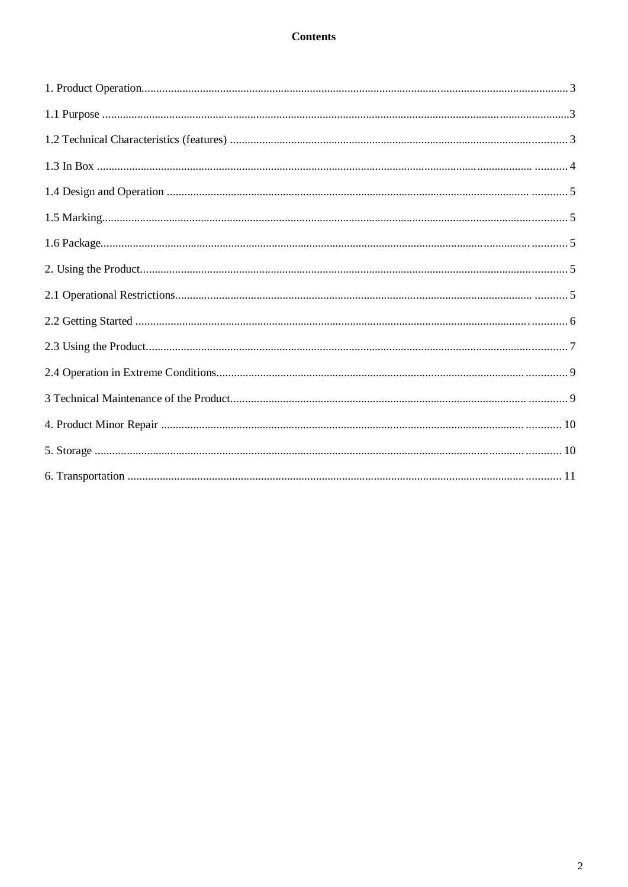#### **Contents**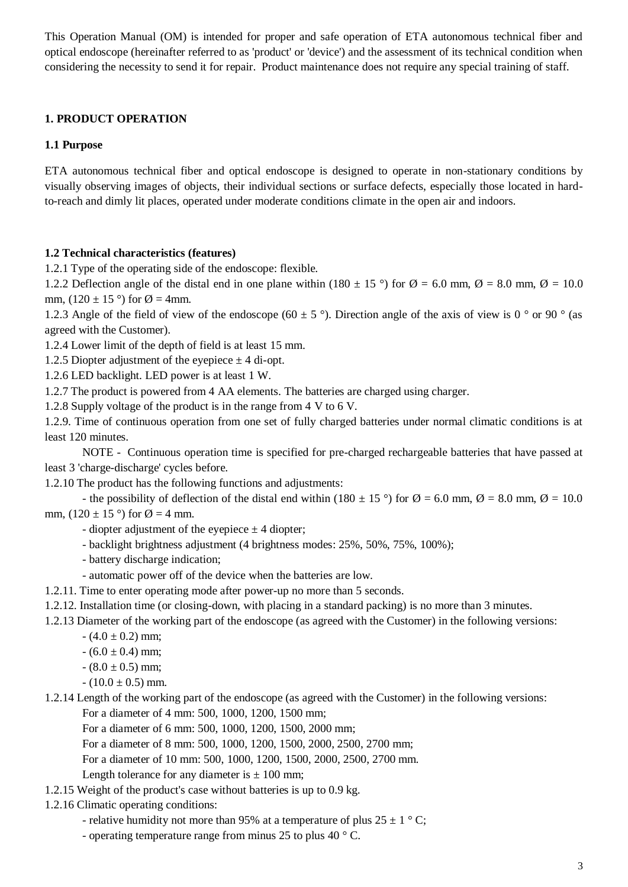This Operation Manual (OM) is intended for proper and safe operation of ETA autonomous technical fiber and optical endoscope (hereinafter referred to as 'product' or 'device') and the assessment of its technical condition when considering the necessity to send it for repair. Product maintenance does not require any special training of staff.

#### **1. PRODUCT OPERATION**

#### **1.1 Purpose**

ETA autonomous technical fiber and optical endoscope is designed to operate in non-stationary conditions by visually observing images of objects, their individual sections or surface defects, especially those located in hardto-reach and dimly lit places, operated under moderate conditions climate in the open air and indoors.

#### **1.2 Technical characteristics (features)**

1.2.1 Type of the operating side of the endoscope: flexible.

1.2.2 Deflection angle of the distal end in one plane within (180  $\pm$  15 °) for  $\varnothing$  = 6.0 mm,  $\varnothing$  = 8.0 mm,  $\varnothing$  = 10.0 mm,  $(120 \pm 15$ <sup>o</sup>) for  $\varnothing = 4$ mm.

1.2.3 Angle of the field of view of the endoscope (60  $\pm$  5 °). Direction angle of the axis of view is 0 ° or 90 ° (as agreed with the Customer).

1.2.4 Lower limit of the depth of field is at least 15 mm.

1.2.5 Diopter adjustment of the eyepiece  $\pm$  4 di-opt.

1.2.6 LED backlight. LED power is at least 1 W.

1.2.7 The product is powered from 4 AA elements. The batteries are charged using charger.

1.2.8 Supply voltage of the product is in the range from 4 V to 6 V.

1.2.9. Time of continuous operation from one set of fully charged batteries under normal climatic conditions is at least 120 minutes.

NOTE - Continuous operation time is specified for pre-charged rechargeable batteries that have passed at least 3 'charge-discharge' cycles before.

1.2.10 The product has the following functions and adjustments:

- the possibility of deflection of the distal end within (180  $\pm$  15 °) for  $\varnothing$  = 6.0 mm,  $\varnothing$  = 8.0 mm,  $\varnothing$  = 10.0 mm,  $(120 \pm 15)$  of  $\varnothing = 4$  mm.

- diopter adjustment of the eyepiece  $\pm$  4 diopter;

- backlight brightness adjustment (4 brightness modes: 25%, 50%, 75%, 100%);
- battery discharge indication;
- automatic power off of the device when the batteries are low.
- 1.2.11. Time to enter operating mode after power-up no more than 5 seconds.
- 1.2.12. Installation time (or closing-down, with placing in a standard packing) is no more than 3 minutes.
- 1.2.13 Diameter of the working part of the endoscope (as agreed with the Customer) in the following versions:

 $- (4.0 \pm 0.2)$  mm;

 $- (6.0 \pm 0.4)$  mm;

 $- (8.0 \pm 0.5)$  mm;

- $(10.0 \pm 0.5)$  mm.
- 1.2.14 Length of the working part of the endoscope (as agreed with the Customer) in the following versions: For a diameter of 4 mm: 500, 1000, 1200, 1500 mm;

For a diameter of 6 mm: 500, 1000, 1200, 1500, 2000 mm;

For a diameter of 8 mm: 500, 1000, 1200, 1500, 2000, 2500, 2700 mm;

For a diameter of 10 mm: 500, 1000, 1200, 1500, 2000, 2500, 2700 mm.

Length tolerance for any diameter is  $\pm$  100 mm;

- 1.2.15 Weight of the product's case without batteries is up to 0.9 kg.
- 1.2.16 Climatic operating conditions:
	- relative humidity not more than 95% at a temperature of plus  $25 \pm 1$  °C;
	- operating temperature range from minus 25 to plus 40 ° C.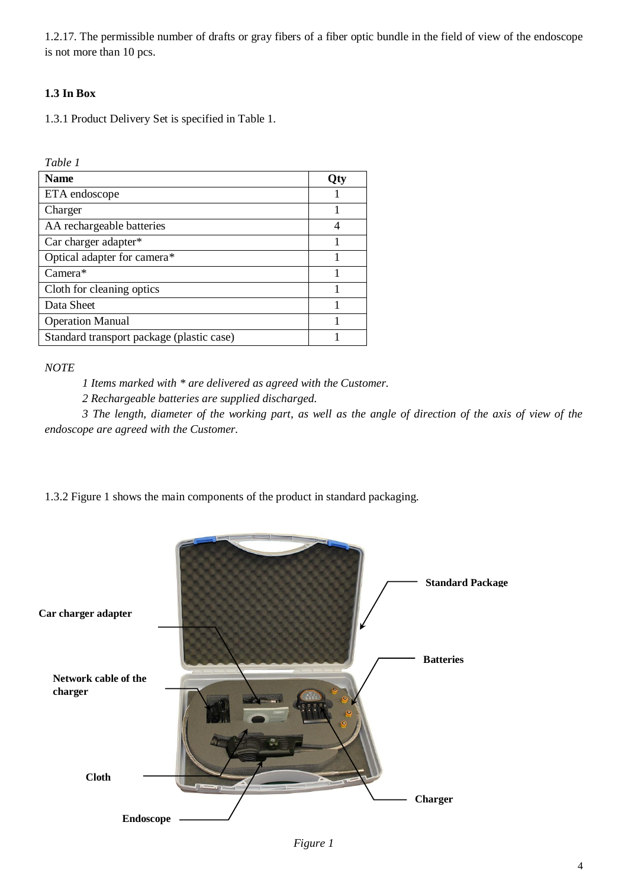1.2.17. The permissible number of drafts or gray fibers of a fiber optic bundle in the field of view of the endoscope is not more than 10 pcs.

#### **1.3 In Box**

1.3.1 Product Delivery Set is specified in Table 1.

*Table 1*

| <b>Name</b>                               | .  া |
|-------------------------------------------|------|
| ETA endoscope                             |      |
| Charger                                   |      |
| AA rechargeable batteries                 |      |
| Car charger adapter*                      |      |
| Optical adapter for camera*               |      |
| $Camera*$                                 |      |
| Cloth for cleaning optics                 |      |
| Data Sheet                                |      |
| <b>Operation Manual</b>                   |      |
| Standard transport package (plastic case) |      |

*NOTE*

*1 Items marked with \* are delivered as agreed with the Customer.*

*2 Rechargeable batteries are supplied discharged.*

*3 The length, diameter of the working part, as well as the angle of direction of the axis of view of the endoscope are agreed with the Customer.*

1.3.2 Figure 1 shows the main components of the product in standard packaging.



*Figure 1*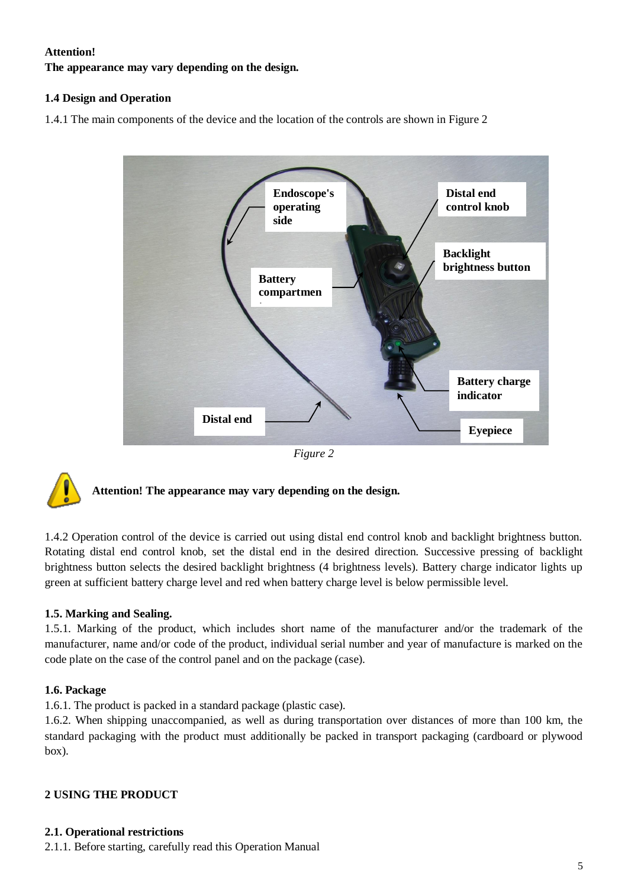#### **Attention!**

**The appearance may vary depending on the design.**

#### **1.4 Design and Operation**

1.4.1 The main components of the device and the location of the controls are shown in Figure 2



*Figure 2*



### **Attention! The appearance may vary depending on the design.**

1.4.2 Operation control of the device is carried out using distal end control knob and backlight brightness button. Rotating distal end control knob, set the distal end in the desired direction. Successive pressing of backlight brightness button selects the desired backlight brightness (4 brightness levels). Battery charge indicator lights up green at sufficient battery charge level and red when battery charge level is below permissible level.

#### **1.5. Marking and Sealing.**

1.5.1. Marking of the product, which includes short name of the manufacturer and/or the trademark of the manufacturer, name and/or code of the product, individual serial number and year of manufacture is marked on the code plate on the case of the control panel and on the package (case).

#### **1.6. Package**

1.6.1. The product is packed in a standard package (plastic case).

1.6.2. When shipping unaccompanied, as well as during transportation over distances of more than 100 km, the standard packaging with the product must additionally be packed in transport packaging (cardboard or plywood box).

#### **2 USING THE PRODUCT**

#### **2.1. Operational restrictions**

2.1.1. Before starting, carefully read this Operation Manual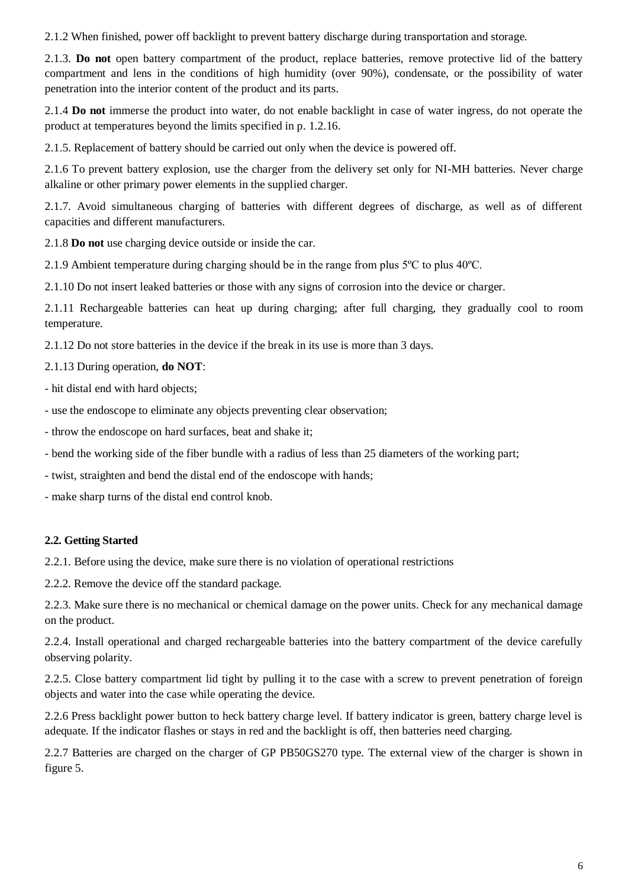2.1.2 When finished, power off backlight to prevent battery discharge during transportation and storage.

2.1.3. **Do not** open battery compartment of the product, replace batteries, remove protective lid of the battery compartment and lens in the conditions of high humidity (over 90%), condensate, or the possibility of water penetration into the interior content of the product and its parts.

2.1.4 **Do not** immerse the product into water, do not enable backlight in case of water ingress, do not operate the product at temperatures beyond the limits specified in p. 1.2.16.

2.1.5. Replacement of battery should be carried out only when the device is powered off.

2.1.6 To prevent battery explosion, use the charger from the delivery set only for NI-MH batteries. Never charge alkaline or other primary power elements in the supplied charger.

2.1.7. Avoid simultaneous charging of batteries with different degrees of discharge, as well as of different capacities and different manufacturers.

2.1.8 **Do not** use charging device outside or inside the car.

2.1.9 Ambient temperature during charging should be in the range from plus 5ºС to plus 40ºС.

2.1.10 Do not insert leaked batteries or those with any signs of corrosion into the device or charger.

2.1.11 Rechargeable batteries can heat up during charging; after full charging, they gradually cool to room temperature.

2.1.12 Do not store batteries in the device if the break in its use is more than 3 days.

2.1.13 During operation, **do NOT**:

- hit distal end with hard objects;

- use the endoscope to eliminate any objects preventing clear observation;

- throw the endoscope on hard surfaces, beat and shake it;

- bend the working side of the fiber bundle with a radius of less than 25 diameters of the working part;

- twist, straighten and bend the distal end of the endoscope with hands;

- make sharp turns of the distal end control knob.

#### **2.2. Getting Started**

2.2.1. Before using the device, make sure there is no violation of operational restrictions

2.2.2. Remove the device off the standard package.

2.2.3. Make sure there is no mechanical or chemical damage on the power units. Check for any mechanical damage on the product.

2.2.4. Install operational and charged rechargeable batteries into the battery compartment of the device carefully observing polarity.

2.2.5. Close battery compartment lid tight by pulling it to the case with a screw to prevent penetration of foreign objects and water into the case while operating the device.

2.2.6 Press backlight power button to heck battery charge level. If battery indicator is green, battery charge level is adequate. If the indicator flashes or stays in red and the backlight is off, then batteries need charging.

2.2.7 Batteries are charged on the charger of GP PB50GS270 type. The external view of the charger is shown in figure 5.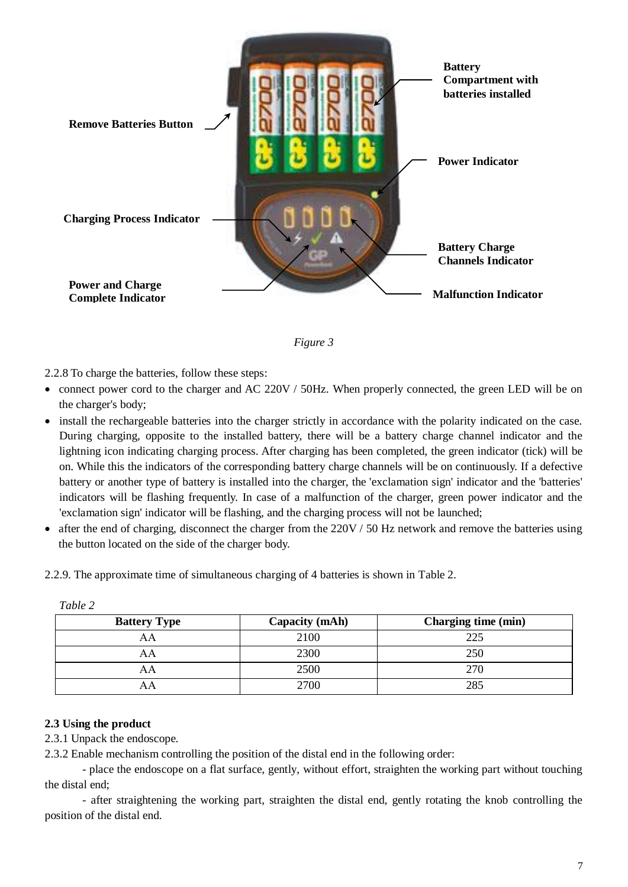



2.2.8 To charge the batteries, follow these steps:

- connect power cord to the charger and AC 220V / 50Hz. When properly connected, the green LED will be on the charger's body;
- install the rechargeable batteries into the charger strictly in accordance with the polarity indicated on the case. During charging, opposite to the installed battery, there will be a battery charge channel indicator and the lightning icon indicating charging process. After charging has been completed, the green indicator (tick) will be on. While this the indicators of the corresponding battery charge channels will be on continuously. If a defective battery or another type of battery is installed into the charger, the 'exclamation sign' indicator and the 'batteries' indicators will be flashing frequently. In case of a malfunction of the charger, green power indicator and the 'exclamation sign' indicator will be flashing, and the charging process will not be launched;
- $\bullet$  after the end of charging, disconnect the charger from the 220V / 50 Hz network and remove the batteries using the button located on the side of the charger body.

AA 2300 250 AA 2500 270 AA 2700 285

| Table 2 |                     |                |                            |
|---------|---------------------|----------------|----------------------------|
|         | <b>Battery Type</b> | Capacity (mAh) | <b>Charging time (min)</b> |
|         |                     | 2100           | つつら                        |

2.2.9. The approximate time of simultaneous charging of 4 batteries is shown in Table 2.

#### **2.3 Using the product**

2.3.1 Unpack the endoscope.

2.3.2 Enable mechanism controlling the position of the distal end in the following order:

- place the endoscope on a flat surface, gently, without effort, straighten the working part without touching the distal end;

- after straightening the working part, straighten the distal end, gently rotating the knob controlling the position of the distal end.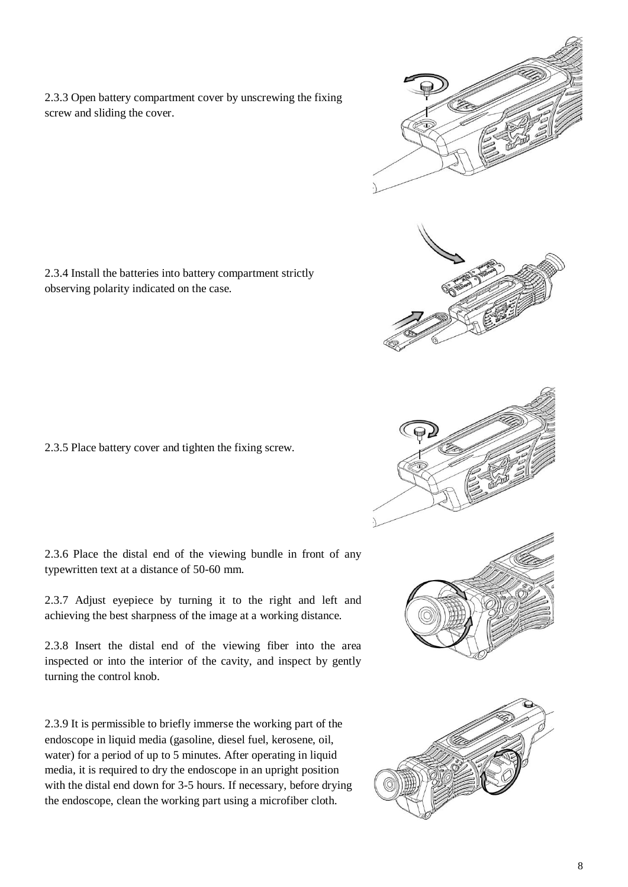2.3.3 Open battery compartment cover by unscrewing the fixing screw and sliding the cover.

2.3.4 Install the batteries into battery compartment strictly observing polarity indicated on the case.

2.3.5 Place battery cover and tighten the fixing screw.

2.3.6 Place the distal end of the viewing bundle in front of any typewritten text at a distance of 50-60 mm.

2.3.7 Adjust eyepiece by turning it to the right and left and achieving the best sharpness of the image at a working distance.

2.3.8 Insert the distal end of the viewing fiber into the area inspected or into the interior of the cavity, and inspect by gently turning the control knob.

2.3.9 It is permissible to briefly immerse the working part of the endoscope in liquid media (gasoline, diesel fuel, kerosene, oil, water) for a period of up to 5 minutes. After operating in liquid media, it is required to dry the endoscope in an upright position with the distal end down for 3-5 hours. If necessary, before drying the endoscope, clean the working part using a microfiber cloth.

8

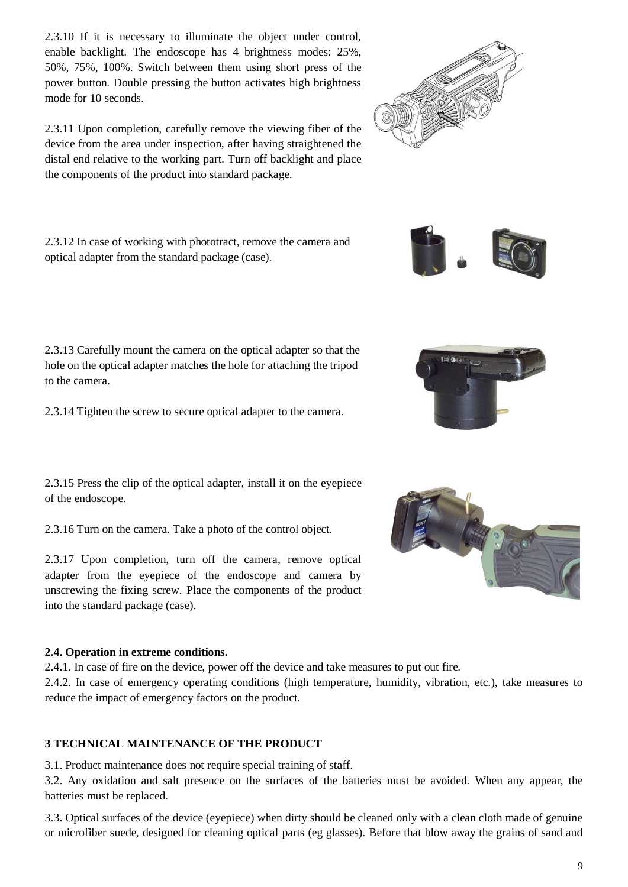2.3.10 If it is necessary to illuminate the object under control, enable backlight. The endoscope has 4 brightness modes: 25%, 50%, 75%, 100%. Switch between them using short press of the power button. Double pressing the button activates high brightness mode for 10 seconds.

2.3.11 Upon completion, carefully remove the viewing fiber of the device from the area under inspection, after having straightened the distal end relative to the working part. Turn off backlight and place the components of the product into standard package.

2.3.12 In case of working with phototract, remove the camera and optical adapter from the standard package (case).

2.3.13 Carefully mount the camera on the optical adapter so that the hole on the optical adapter matches the hole for attaching the tripod to the camera.

2.3.14 Tighten the screw to secure optical adapter to the camera.

2.3.15 Press the clip of the optical adapter, install it on the eyepiece of the endoscope.

2.3.16 Turn on the camera. Take a photo of the control object.

2.3.17 Upon completion, turn off the camera, remove optical adapter from the eyepiece of the endoscope and camera by unscrewing the fixing screw. Place the components of the product into the standard package (case).

#### **2.4. Operation in extreme conditions.**

2.4.1. In case of fire on the device, power off the device and take measures to put out fire.

2.4.2. In case of emergency operating conditions (high temperature, humidity, vibration, etc.), take measures to reduce the impact of emergency factors on the product.

#### **3 TECHNICAL MAINTENANCE OF THE PRODUCT**

3.1. Product maintenance does not require special training of staff.

3.2. Any oxidation and salt presence on the surfaces of the batteries must be avoided. When any appear, the batteries must be replaced.

3.3. Optical surfaces of the device (eyepiece) when dirty should be cleaned only with a clean cloth made of genuine or microfiber suede, designed for cleaning optical parts (eg glasses). Before that blow away the grains of sand and









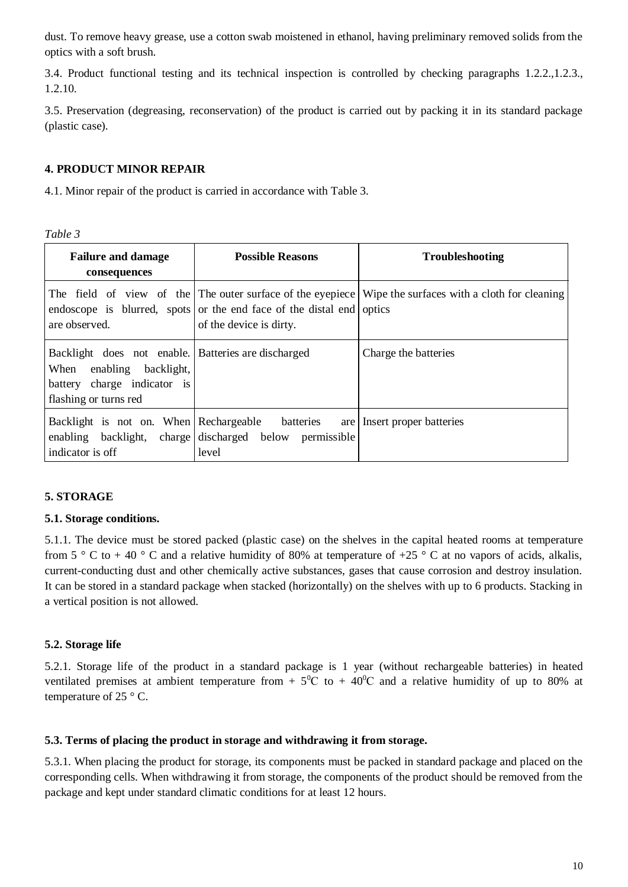dust. To remove heavy grease, use a cotton swab moistened in ethanol, having preliminary removed solids from the optics with a soft brush.

3.4. Product functional testing and its technical inspection is controlled by checking paragraphs 1.2.2.,1.2.3., 1.2.10.

3.5. Preservation (degreasing, reconservation) of the product is carried out by packing it in its standard package (plastic case).

#### **4. PRODUCT MINOR REPAIR**

4.1. Minor repair of the product is carried in accordance with Table 3.

| <b>Failure and damage</b><br>consequences                                                                                                  | <b>Possible Reasons</b>                                                                         | <b>Troubleshooting</b>                                                                                 |
|--------------------------------------------------------------------------------------------------------------------------------------------|-------------------------------------------------------------------------------------------------|--------------------------------------------------------------------------------------------------------|
| are observed.                                                                                                                              | endoscope is blurred, spots or the end face of the distal end optics<br>of the device is dirty. | The field of view of the The outer surface of the eyepiece Wipe the surfaces with a cloth for cleaning |
| Backlight does not enable. Batteries are discharged<br>When<br>enabling backlight,<br>battery charge indicator is<br>flashing or turns red |                                                                                                 | Charge the batteries                                                                                   |
| Backlight is not on. When Rechargeable batteries<br>indicator is off                                                                       | enabling backlight, charge discharged below permissible<br>level                                | are Insert proper batteries                                                                            |

#### **5. STORAGE**

#### **5.1. Storage conditions.**

5.1.1. The device must be stored packed (plastic case) on the shelves in the capital heated rooms at temperature from  $5 \degree$  C to + 40  $\degree$  C and a relative humidity of 80% at temperature of +25  $\degree$  C at no vapors of acids, alkalis, current-conducting dust and other chemically active substances, gases that cause corrosion and destroy insulation. It can be stored in a standard package when stacked (horizontally) on the shelves with up to 6 products. Stacking in a vertical position is not allowed.

#### **5.2. Storage life**

5.2.1. Storage life of the product in a standard package is 1 year (without rechargeable batteries) in heated ventilated premises at ambient temperature from  $+ 5^{0}C$  to  $+ 40^{0}C$  and a relative humidity of up to 80% at temperature of 25 $\degree$  C.

#### **5.3. Terms of placing the product in storage and withdrawing it from storage.**

5.3.1. When placing the product for storage, its components must be packed in standard package and placed on the corresponding cells. When withdrawing it from storage, the components of the product should be removed from the package and kept under standard climatic conditions for at least 12 hours.